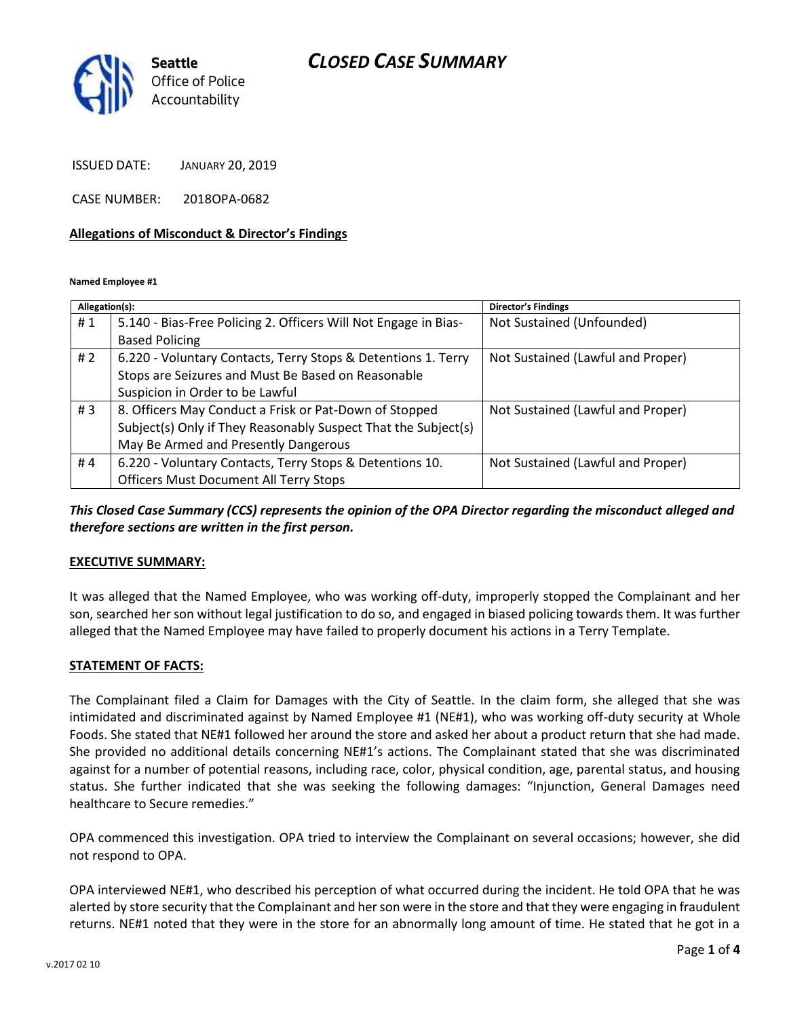## *CLOSED CASE SUMMARY*



ISSUED DATE: JANUARY 20, 2019

CASE NUMBER: 2018OPA-0682

#### **Allegations of Misconduct & Director's Findings**

**Named Employee #1**

| Allegation(s): |                                                                 | <b>Director's Findings</b>        |
|----------------|-----------------------------------------------------------------|-----------------------------------|
| #1             | 5.140 - Bias-Free Policing 2. Officers Will Not Engage in Bias- | Not Sustained (Unfounded)         |
|                | <b>Based Policing</b>                                           |                                   |
| # $2$          | 6.220 - Voluntary Contacts, Terry Stops & Detentions 1. Terry   | Not Sustained (Lawful and Proper) |
|                | Stops are Seizures and Must Be Based on Reasonable              |                                   |
|                | Suspicion in Order to be Lawful                                 |                                   |
| # $3$          | 8. Officers May Conduct a Frisk or Pat-Down of Stopped          | Not Sustained (Lawful and Proper) |
|                | Subject(s) Only if They Reasonably Suspect That the Subject(s)  |                                   |
|                | May Be Armed and Presently Dangerous                            |                                   |
| #4             | 6.220 - Voluntary Contacts, Terry Stops & Detentions 10.        | Not Sustained (Lawful and Proper) |
|                | <b>Officers Must Document All Terry Stops</b>                   |                                   |

*This Closed Case Summary (CCS) represents the opinion of the OPA Director regarding the misconduct alleged and therefore sections are written in the first person.* 

#### **EXECUTIVE SUMMARY:**

It was alleged that the Named Employee, who was working off-duty, improperly stopped the Complainant and her son, searched her son without legal justification to do so, and engaged in biased policing towards them. It was further alleged that the Named Employee may have failed to properly document his actions in a Terry Template.

#### **STATEMENT OF FACTS:**

The Complainant filed a Claim for Damages with the City of Seattle. In the claim form, she alleged that she was intimidated and discriminated against by Named Employee #1 (NE#1), who was working off-duty security at Whole Foods. She stated that NE#1 followed her around the store and asked her about a product return that she had made. She provided no additional details concerning NE#1's actions. The Complainant stated that she was discriminated against for a number of potential reasons, including race, color, physical condition, age, parental status, and housing status. She further indicated that she was seeking the following damages: "Injunction, General Damages need healthcare to Secure remedies."

OPA commenced this investigation. OPA tried to interview the Complainant on several occasions; however, she did not respond to OPA.

OPA interviewed NE#1, who described his perception of what occurred during the incident. He told OPA that he was alerted by store security that the Complainant and her son were in the store and that they were engaging in fraudulent returns. NE#1 noted that they were in the store for an abnormally long amount of time. He stated that he got in a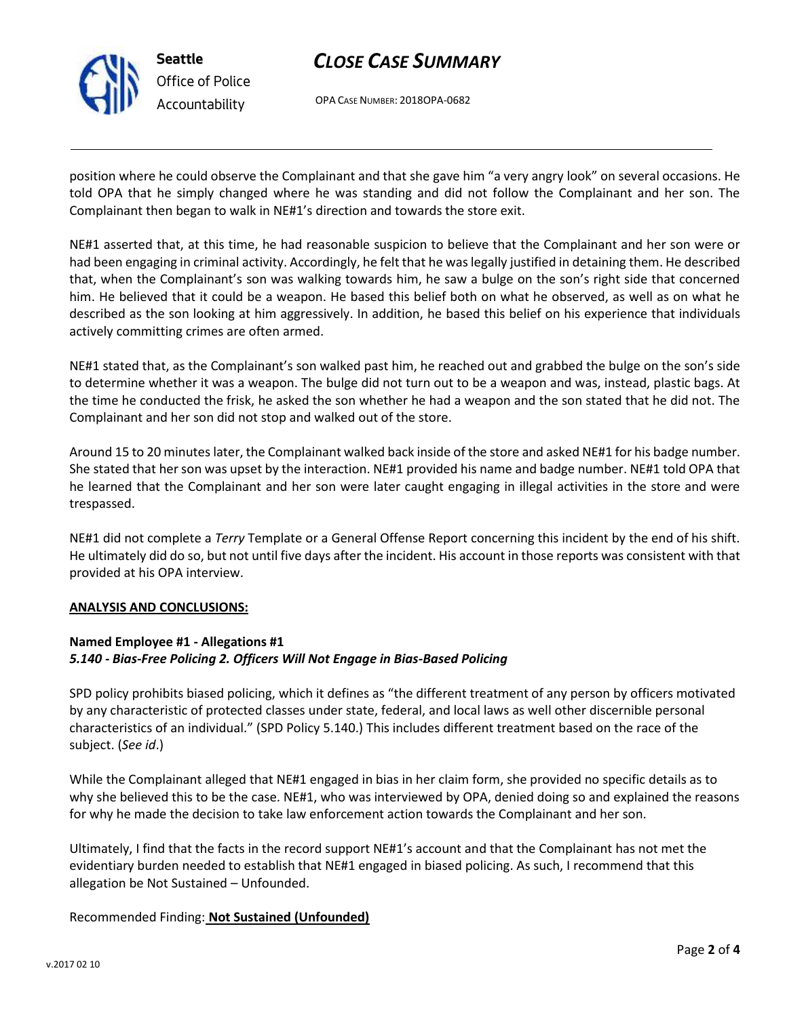

**Seattle** *Office of Police Accountability*

# *CLOSE CASE SUMMARY*

OPA CASE NUMBER: 2018OPA-0682

position where he could observe the Complainant and that she gave him "a very angry look" on several occasions. He told OPA that he simply changed where he was standing and did not follow the Complainant and her son. The Complainant then began to walk in NE#1's direction and towards the store exit.

NE#1 asserted that, at this time, he had reasonable suspicion to believe that the Complainant and her son were or had been engaging in criminal activity. Accordingly, he felt that he was legally justified in detaining them. He described that, when the Complainant's son was walking towards him, he saw a bulge on the son's right side that concerned him. He believed that it could be a weapon. He based this belief both on what he observed, as well as on what he described as the son looking at him aggressively. In addition, he based this belief on his experience that individuals actively committing crimes are often armed.

NE#1 stated that, as the Complainant's son walked past him, he reached out and grabbed the bulge on the son's side to determine whether it was a weapon. The bulge did not turn out to be a weapon and was, instead, plastic bags. At the time he conducted the frisk, he asked the son whether he had a weapon and the son stated that he did not. The Complainant and her son did not stop and walked out of the store.

Around 15 to 20 minutes later, the Complainant walked back inside of the store and asked NE#1 for his badge number. She stated that her son was upset by the interaction. NE#1 provided his name and badge number. NE#1 told OPA that he learned that the Complainant and her son were later caught engaging in illegal activities in the store and were trespassed.

NE#1 did not complete a *Terry* Template or a General Offense Report concerning this incident by the end of his shift. He ultimately did do so, but not until five days after the incident. His account in those reports was consistent with that provided at his OPA interview.

#### **ANALYSIS AND CONCLUSIONS:**

### **Named Employee #1 - Allegations #1** *5.140 - Bias-Free Policing 2. Officers Will Not Engage in Bias-Based Policing*

SPD policy prohibits biased policing, which it defines as "the different treatment of any person by officers motivated by any characteristic of protected classes under state, federal, and local laws as well other discernible personal characteristics of an individual." (SPD Policy 5.140.) This includes different treatment based on the race of the subject. (*See id*.)

While the Complainant alleged that NE#1 engaged in bias in her claim form, she provided no specific details as to why she believed this to be the case. NE#1, who was interviewed by OPA, denied doing so and explained the reasons for why he made the decision to take law enforcement action towards the Complainant and her son.

Ultimately, I find that the facts in the record support NE#1's account and that the Complainant has not met the evidentiary burden needed to establish that NE#1 engaged in biased policing. As such, I recommend that this allegation be Not Sustained – Unfounded.

### Recommended Finding: **Not Sustained (Unfounded)**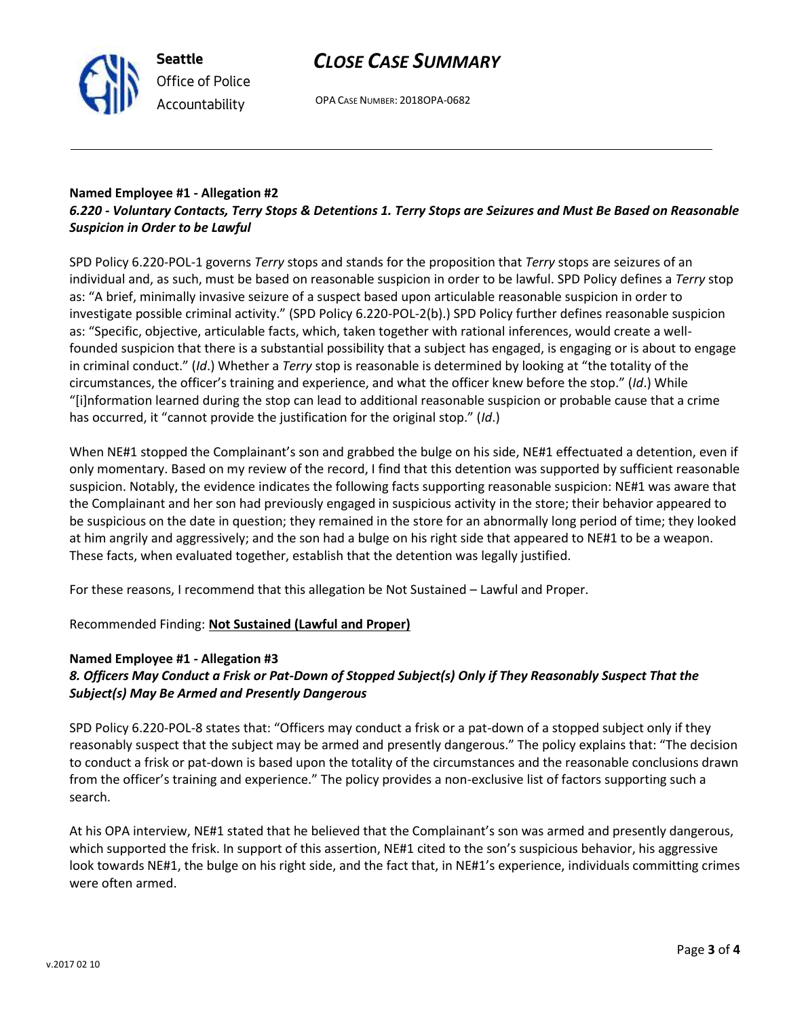# *CLOSE CASE SUMMARY*

OPA CASE NUMBER: 2018OPA-0682

#### **Named Employee #1 - Allegation #2** *6.220 - Voluntary Contacts, Terry Stops & Detentions 1. Terry Stops are Seizures and Must Be Based on Reasonable Suspicion in Order to be Lawful*

SPD Policy 6.220-POL-1 governs *Terry* stops and stands for the proposition that *Terry* stops are seizures of an individual and, as such, must be based on reasonable suspicion in order to be lawful. SPD Policy defines a *Terry* stop as: "A brief, minimally invasive seizure of a suspect based upon articulable reasonable suspicion in order to investigate possible criminal activity." (SPD Policy 6.220-POL-2(b).) SPD Policy further defines reasonable suspicion as: "Specific, objective, articulable facts, which, taken together with rational inferences, would create a wellfounded suspicion that there is a substantial possibility that a subject has engaged, is engaging or is about to engage in criminal conduct." (*Id*.) Whether a *Terry* stop is reasonable is determined by looking at "the totality of the circumstances, the officer's training and experience, and what the officer knew before the stop." (*Id*.) While "[i]nformation learned during the stop can lead to additional reasonable suspicion or probable cause that a crime has occurred, it "cannot provide the justification for the original stop." (*Id*.)

When NE#1 stopped the Complainant's son and grabbed the bulge on his side, NE#1 effectuated a detention, even if only momentary. Based on my review of the record, I find that this detention was supported by sufficient reasonable suspicion. Notably, the evidence indicates the following facts supporting reasonable suspicion: NE#1 was aware that the Complainant and her son had previously engaged in suspicious activity in the store; their behavior appeared to be suspicious on the date in question; they remained in the store for an abnormally long period of time; they looked at him angrily and aggressively; and the son had a bulge on his right side that appeared to NE#1 to be a weapon. These facts, when evaluated together, establish that the detention was legally justified.

For these reasons, I recommend that this allegation be Not Sustained – Lawful and Proper.

Recommended Finding: **Not Sustained (Lawful and Proper)**

### **Named Employee #1 - Allegation #3**

## *8. Officers May Conduct a Frisk or Pat-Down of Stopped Subject(s) Only if They Reasonably Suspect That the Subject(s) May Be Armed and Presently Dangerous*

SPD Policy 6.220-POL-8 states that: "Officers may conduct a frisk or a pat-down of a stopped subject only if they reasonably suspect that the subject may be armed and presently dangerous." The policy explains that: "The decision to conduct a frisk or pat-down is based upon the totality of the circumstances and the reasonable conclusions drawn from the officer's training and experience." The policy provides a non-exclusive list of factors supporting such a search.

At his OPA interview, NE#1 stated that he believed that the Complainant's son was armed and presently dangerous, which supported the frisk. In support of this assertion, NE#1 cited to the son's suspicious behavior, his aggressive look towards NE#1, the bulge on his right side, and the fact that, in NE#1's experience, individuals committing crimes were often armed.



**Seattle** *Office of Police Accountability*